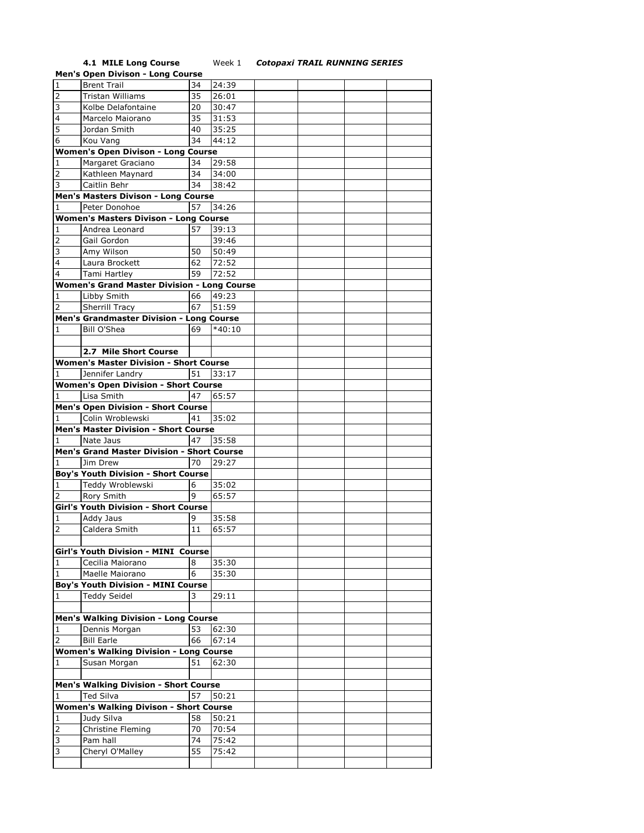## **4.1 MILE Long Course** Week 1 *Cotopaxi TRAIL RUNNING SERIES*

|                | <b>Men's Open Divison - Long Course</b>            |    |          |  |  |
|----------------|----------------------------------------------------|----|----------|--|--|
| $\mathbf 1$    | <b>Brent Trail</b>                                 | 34 | 24:39    |  |  |
| 2              | Tristan Williams                                   | 35 | 26:01    |  |  |
| 3              | Kolbe Delafontaine                                 | 20 | 30:47    |  |  |
|                |                                                    |    |          |  |  |
| 4              | Marcelo Maiorano                                   | 35 | 31:53    |  |  |
| 5              | Jordan Smith                                       | 40 | 35:25    |  |  |
| 6              | Kou Vang                                           | 34 | 44:12    |  |  |
|                | <b>Women's Open Divison - Long Course</b>          |    |          |  |  |
| 1              | Margaret Graciano                                  | 34 | 29:58    |  |  |
| 2              | Kathleen Maynard                                   | 34 | 34:00    |  |  |
| 3              | Caitlin Behr                                       | 34 | 38:42    |  |  |
|                | Men's Masters Divison - Long Course                |    |          |  |  |
|                |                                                    | 57 |          |  |  |
| 1              | Peter Donohoe                                      |    | 34:26    |  |  |
|                | <b>Women's Masters Divison - Long Course</b>       |    |          |  |  |
| 1              | Andrea Leonard                                     | 57 | 39:13    |  |  |
| 2              | Gail Gordon                                        |    | 39:46    |  |  |
| 3              | Amy Wilson                                         | 50 | 50:49    |  |  |
| 4              | Laura Brockett                                     | 62 | 72:52    |  |  |
| 4              | Tami Hartley                                       | 59 | 72:52    |  |  |
|                | <b>Women's Grand Master Division - Long Course</b> |    |          |  |  |
| 1              | Libby Smith                                        | 66 | 49:23    |  |  |
| 2              |                                                    |    |          |  |  |
|                | Sherrill Tracy                                     | 67 | 51:59    |  |  |
|                | Men's Grandmaster Division - Long Course           |    |          |  |  |
| 1              | <b>Bill O'Shea</b>                                 | 69 | $*40:10$ |  |  |
|                |                                                    |    |          |  |  |
|                | 2.7 Mile Short Course                              |    |          |  |  |
|                | <b>Women's Master Division - Short Course</b>      |    |          |  |  |
| 1              | Jennifer Landry                                    | 51 | 33:17    |  |  |
|                | <b>Women's Open Division - Short Course</b>        |    |          |  |  |
| 1              | Lisa Smith                                         | 47 | 65:57    |  |  |
|                |                                                    |    |          |  |  |
|                | <b>Men's Open Division - Short Course</b>          |    |          |  |  |
| 1              | Colin Wroblewski                                   | 41 | 35:02    |  |  |
|                | <b>Men's Master Division - Short Course</b>        |    |          |  |  |
| 1              | Nate Jaus                                          | 47 | 35:58    |  |  |
|                |                                                    |    |          |  |  |
|                | Men's Grand Master Division - Short Course         |    |          |  |  |
| 1              | Jim Drew                                           | 70 | 29:27    |  |  |
|                |                                                    |    |          |  |  |
|                | <b>Boy's Youth Division - Short Course</b>         |    |          |  |  |
| 1              | Teddy Wroblewski                                   | 6  | 35:02    |  |  |
| $\overline{2}$ | Rory Smith                                         | 9  | 65:57    |  |  |
|                | Girl's Youth Division - Short Course               |    |          |  |  |
| 1              | Addy Jaus                                          | 9  | 35:58    |  |  |
| $\overline{2}$ | Caldera Smith                                      | 11 | 65:57    |  |  |
|                |                                                    |    |          |  |  |
|                | Girl's Youth Division - MINI Course                |    |          |  |  |
| 1              | Cecilia Maiorano                                   | 8  | 35:30    |  |  |
| $\mathbf{1}$   | Maelle Maiorano                                    | 6  | 35:30    |  |  |
|                |                                                    |    |          |  |  |
|                | <b>Boy's Youth Division - MINI Course</b>          |    |          |  |  |
| 1              | <b>Teddy Seidel</b>                                | 3  | 29:11    |  |  |
|                |                                                    |    |          |  |  |
|                | <b>Men's Walking Division - Long Course</b>        |    |          |  |  |
| 1              | Dennis Morgan                                      | 53 | 62:30    |  |  |
| 2              | <b>Bill Earle</b>                                  | 66 | 67:14    |  |  |
|                | <b>Women's Walking Division - Long Course</b>      |    |          |  |  |
| 1              | Susan Morgan                                       | 51 | 62:30    |  |  |
|                |                                                    |    |          |  |  |
|                |                                                    |    |          |  |  |
| 1              | Men's Walking Division - Short Course              | 57 |          |  |  |
|                | Ted Silva                                          |    | 50:21    |  |  |
|                | <b>Women's Walking Divison - Short Course</b>      |    |          |  |  |
| 1              | Judy Silva                                         | 58 | 50:21    |  |  |
| 2              | Christine Fleming                                  | 70 | 70:54    |  |  |
| 3              | Pam hall                                           | 74 | 75:42    |  |  |
| 3              | Cheryl O'Malley                                    | 55 | 75:42    |  |  |